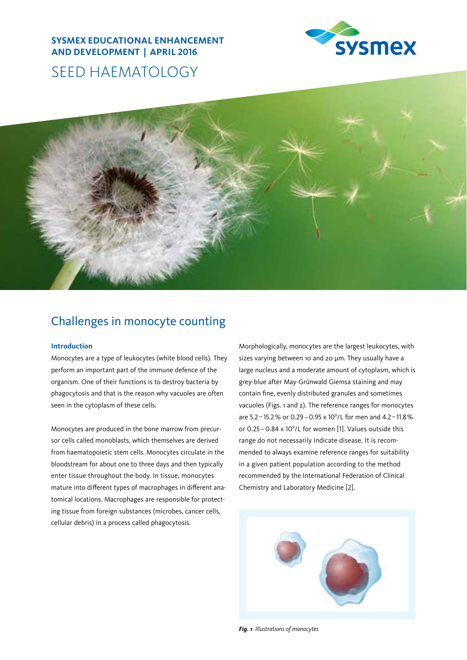# **SYSMEX EDUCATIONAL ENHANCEMENT AND DEVELOPMENT | APRIL 2016**



# SEED HAEMATOLOGY



# Challenges in monocyte counting

# **Introduction**

Monocytes are a type of leukocytes (white blood cells). They perform an important part of the immune defence of the organism. One of their functions is to destroy bacteria by phagocytosis and that is the reason why vacuoles are often seen in the cytoplasm of these cells.

Monocytes are produced in the bone marrow from precursor cells called monoblasts, which themselves are derived from haematopoietic stem cells. Monocytes circulate in the bloodstream for about one to three days and then typically enter tissue throughout the body. In tissue, monocytes mature into different types of macrophages in different anatomical locations. Macrophages are responsible for protecting tissue from foreign substances (microbes, cancer cells, cellular debris) in a process called phagocytosis.

Morphologically, monocytes are the largest leukocytes, with sizes varying between 10 and 20 um. They usually have a large nucleus and a moderate amount of cytoplasm, which is grey-blue after May-Grünwald Giemsa staining and may contain fine, evenly distributed granules and sometimes vacuoles (Figs. 1 and 2). The reference ranges for monocytes are 5.2 - 15.2 % or 0.29 - 0.95 x 10<sup>9</sup>/L for men and 4.2 - 11.8 % or  $0.25 - 0.84 \times 10^9$ /L for women [1]. Values outside this range do not necessarily indicate disease. It is recommended to always examine reference ranges for suitability in a given patient population according to the method recommended by the International Federation of Clinical Chemistry and Laboratory Medicine [2].



*Fig. 1 Illustrations of monocytes*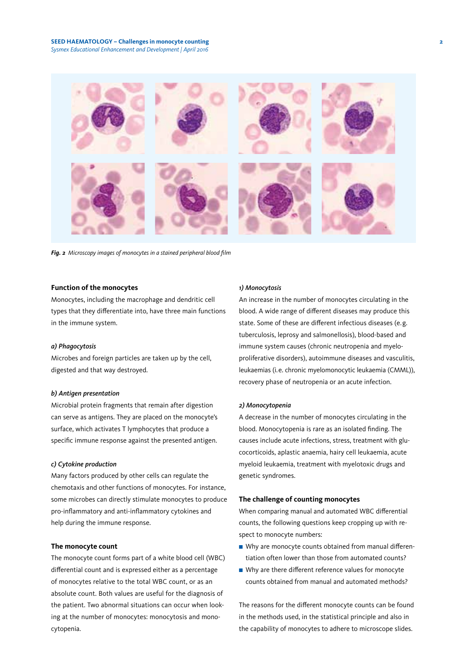#### **SEED HAEMATOLOGY – Challenges in monocyte counting 2** *Sysmex Educational Enhancement and Development | April 2016*



*Fig. 2 Microscopy images of monocytes in a stained peripheral blood film*

## **Function of the monocytes**

Monocytes, including the macrophage and dendritic cell types that they differentiate into, have three main functions in the immune system.

#### *a) Phagocytosis*

Microbes and foreign particles are taken up by the cell, digested and that way destroyed.

#### *b) Antigen presentation*

Microbial protein fragments that remain after digestion can serve as antigens. They are placed on the monocyte's surface, which activates T lymphocytes that produce a specific immune response against the presented antigen.

#### *c) Cytokine production*

Many factors produced by other cells can regulate the chemotaxis and other functions of monocytes. For instance, some microbes can directly stimulate monocytes to produce pro-inflammatory and anti-inflammatory cytokines and help during the immune response.

#### **The monocyte count**

The monocyte count forms part of a white blood cell (WBC) differential count and is expressed either as a percentage of monocytes relative to the total WBC count, or as an absolute count. Both values are useful for the diagnosis of the patient. Two abnormal situations can occur when looking at the number of monocytes: monocytosis and monocytopenia.

#### *1) Monocytosis*

An increase in the number of monocytes circulating in the blood. A wide range of different diseases may produce this state. Some of these are different infectious diseases (e.g. tuberculosis, leprosy and salmonellosis), blood-based and immune system causes (chronic neutropenia and myeloproliferative disorders), autoimmune diseases and vasculitis, leukaemias (i.e. chronic myelomonocytic leukaemia (CMML)), recovery phase of neutropenia or an acute infection.

#### *2) Monocytopenia*

A decrease in the number of monocytes circulating in the blood. Monocytopenia is rare as an isolated finding. The causes include acute infections, stress, treatment with glucocorticoids, aplastic anaemia, hairy cell leukaemia, acute myeloid leukaemia, treatment with myelotoxic drugs and genetic syndromes.

#### **The challenge of counting monocytes**

When comparing manual and automated WBC differential counts, the following questions keep cropping up with respect to monocyte numbers:

- Why are monocyte counts obtained from manual differentiation often lower than those from automated counts?
- Why are there different reference values for monocyte counts obtained from manual and automated methods?

The reasons for the different monocyte counts can be found in the methods used, in the statistical principle and also in the capability of monocytes to adhere to microscope slides.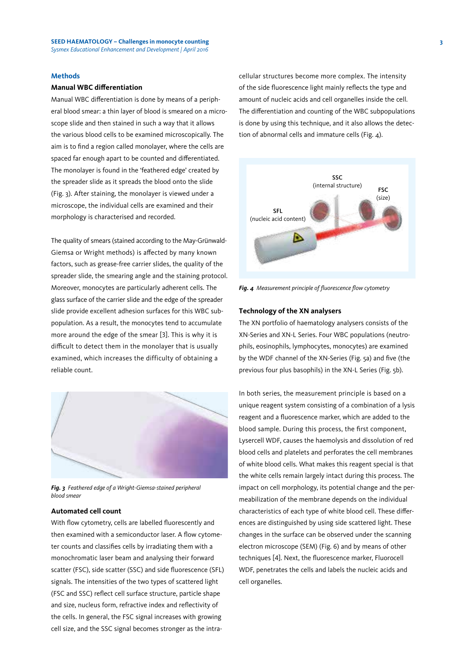## **Methods**

#### **Manual WBC differentiation**

Manual WBC differentiation is done by means of a peripheral blood smear: a thin layer of blood is smeared on a microscope slide and then stained in such a way that it allows the various blood cells to be examined microscopically. The aim is to find a region called monolayer, where the cells are spaced far enough apart to be counted and differentiated. The monolayer is found in the 'feathered edge' created by the spreader slide as it spreads the blood onto the slide (Fig. 3). After staining, the monolayer is viewed under a microscope, the individual cells are examined and their morphology is characterised and recorded.

The quality of smears (stained according to the May-Grünwald-Giemsa or Wright methods) is affected by many known factors, such as grease-free carrier slides, the quality of the spreader slide, the smearing angle and the staining protocol. Moreover, monocytes are particularly adherent cells. The glass surface of the carrier slide and the edge of the spreader slide provide excellent adhesion surfaces for this WBC subpopulation. As a result, the monocytes tend to accumulate more around the edge of the smear [3]. This is why it is difficult to detect them in the monolayer that is usually examined, which increases the difficulty of obtaining a reliable count.



*Fig. 3 Feathered edge of a Wright-Giemsa-stained peripheral blood smear*

# **Automated cell count**

With flow cytometry, cells are labelled fluorescently and then examined with a semiconductor laser. A flow cytometer counts and classifies cells by irradiating them with a monochromatic laser beam and analysing their forward scatter (FSC), side scatter (SSC) and side fluorescence (SFL) signals. The intensities of the two types of scattered light (FSC and SSC) reflect cell surface structure, particle shape and size, nucleus form, refractive index and reflectivity of the cells. In general, the FSC signal increases with growing cell size, and the SSC signal becomes stronger as the intracellular structures become more complex. The intensity of the side fluorescence light mainly reflects the type and amount of nucleic acids and cell organelles inside the cell. The differentiation and counting of the WBC subpopulations is done by using this technique, and it also allows the detection of abnormal cells and immature cells (Fig.  $\Delta$ ).



*Fig. 4 Measurement principle of fluorescence flow cytometry*

#### **Technology of the XN analysers**

The XN portfolio of haematology analysers consists of the XN-Series and XN-L Series. Four WBC populations (neutrophils, eosinophils, lymphocytes, monocytes) are examined by the WDF channel of the XN-Series (Fig. 5a) and five (the previous four plus basophils) in the XN-L Series (Fig. 5b).

In both series, the measurement principle is based on a unique reagent system consisting of a combination of a lysis reagent and a fluorescence marker, which are added to the blood sample. During this process, the first component, Lysercell WDF, causes the haemolysis and dissolution of red blood cells and platelets and perforates the cell membranes of white blood cells. What makes this reagent special is that the white cells remain largely intact during this process. The impact on cell morphology, its potential change and the permeabilization of the membrane depends on the individual characteristics of each type of white blood cell. These differences are distinguished by using side scattered light. These changes in the surface can be observed under the scanning electron microscope (SEM) (Fig. 6) and by means of other techniques [4]. Next, the fluorescence marker, Fluorocell WDF, penetrates the cells and labels the nucleic acids and cell organelles.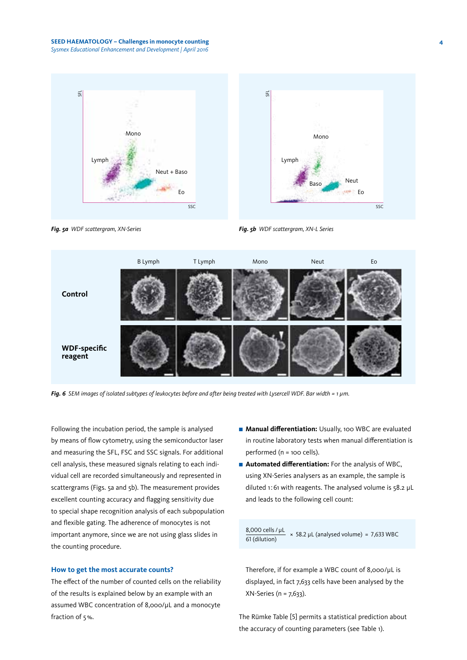



*Fig. 5a WDF scattergram, XN-Series*





*Fig. 6 SEM images of isolated subtypes of leukocytes before and after being treated with Lysercell WDF. Bar width = 1 µm.*

Following the incubation period, the sample is analysed by means of flow cytometry, using the semiconductor laser and measuring the SFL, FSC and SSC signals. For additional cell analysis, these measured signals relating to each individual cell are recorded simultaneously and represented in scattergrams (Figs. 5a and 5b). The measurement provides excellent counting accuracy and flagging sensitivity due to special shape recognition analysis of each subpopulation and flexible gating. The adherence of monocytes is not important anymore, since we are not using glass slides in the counting procedure.

# **How to get the most accurate counts?**

The effect of the number of counted cells on the reliability of the results is explained below by an example with an assumed WBC concentration of 8,000/µL and a monocyte fraction of 5%.

- **Manual differentiation:** Usually, 100 WBC are evaluated in routine laboratory tests when manual differentiation is performed (n = 100 cells).
- **Automated differentiation:** For the analysis of WBC, using XN-Series analysers as an example, the sample is diluted 1:61 with reagents. The analysed volume is 58.2 µL and leads to the following cell count:

 $\frac{8,000 \text{ cells} / \mu\text{L}}{61 \text{(dilution)}}$  × 58.2  $\mu\text{L}$  (analysed volume) = 7,633 WBC

Therefore, if for example a WBC count of 8,000/μL is displayed, in fact 7,633 cells have been analysed by the XN-Series (n = 7,633).

The Rümke Table [5] permits a statistical prediction about the accuracy of counting parameters (see Table 1).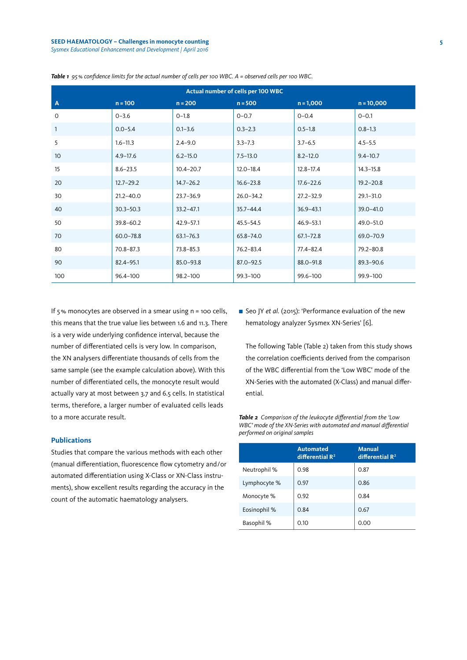#### **SEED HAEMATOLOGY – Challenges in monocyte counting 5** *Sysmex Educational Enhancement and Development | April 2016*

| Actual number of cells per 100 WBC |               |               |               |               |               |  |  |
|------------------------------------|---------------|---------------|---------------|---------------|---------------|--|--|
| $\mathbf{A}$                       | $n = 100$     | $n = 200$     | $n = 500$     | $n = 1,000$   | $n = 10,000$  |  |  |
| $\mathbf 0$                        | $0 - 3.6$     | $0 - 1.8$     | $0 - 0.7$     | $0 - 0.4$     | $0 - 0.1$     |  |  |
| $\mathbf{1}$                       | $0.0 - 5.4$   | $0.1 - 3.6$   | $0.3 - 2.3$   | $0.5 - 1.8$   | $0.8 - 1.3$   |  |  |
| 5                                  | $1.6 - 11.3$  | $2.4 - 9.0$   | $3.3 - 7.3$   | $3.7 - 6.5$   | $4.5 - 5.5$   |  |  |
| 10                                 | $4.9 - 17.6$  | $6.2 - 15.0$  | $7.5 - 13.0$  | $8.2 - 12.0$  | $9.4 - 10.7$  |  |  |
| 15                                 | $8.6 - 23.5$  | $10.4 - 20.7$ | $12.0 - 18.4$ | $12.8 - 17.4$ | $14.3 - 15.8$ |  |  |
| 20                                 | $12.7 - 29.2$ | $14.7 - 26.2$ | $16.6 - 23.8$ | $17.6 - 22.6$ | $19.2 - 20.8$ |  |  |
| 30                                 | $21.2 - 40.0$ | $23.7 - 36.9$ | $26.0 - 34.2$ | $27.2 - 32.9$ | 29.1-31.0     |  |  |
| 40                                 | $30.3 - 50.3$ | $33.2 - 47.1$ | $35.7 - 44.4$ | $36.9 - 43.1$ | $39.0 - 41.0$ |  |  |
| 50                                 | $39.8 - 60.2$ | $42.9 - 57.1$ | $45.5 - 54.5$ | $46.9 - 53.1$ | $49.0 - 51.0$ |  |  |
| 70                                 | $60.0 - 78.8$ | $63.1 - 76.3$ | $65.8 - 74.0$ | $67.1 - 72.8$ | 69.0-70.9     |  |  |
| 80                                 | $70.8 - 87.3$ | $73.8 - 85.3$ | $76.2 - 83.4$ | $77.4 - 82.4$ | $79.2 - 80.8$ |  |  |
| 90                                 | $82.4 - 95.1$ | $85.0 - 93.8$ | $87.0 - 92.5$ | 88.0-91.8     | 89.3-90.6     |  |  |
| 100                                | 96.4-100      | 98.2-100      | 99.3-100      | 99.6-100      | 99.9-100      |  |  |

*Table 1 95% confidence limits for the actual number of cells per 100 WBC. A = observed cells per 100 WBC.*

If 5% monocytes are observed in a smear using n = 100 cells, this means that the true value lies between 1.6 and 11.3. There is a very wide underlying confidence interval, because the number of differentiated cells is very low. In comparison, the XN analysers differentiate thousands of cells from the same sample (see the example calculation above). With this number of differentiated cells, the monocyte result would actually vary at most between 3.7 and 6.5 cells. In statistical terms, therefore, a larger number of evaluated cells leads to a more accurate result.

# **Publications**

Studies that compare the various methods with each other (manual differentiation, fluorescence flow cytometry and/or automated differentiation using X-Class or XN-Class instruments), show excellent results regarding the accuracy in the count of the automatic haematology analysers.

■ Seo JY *et al.* (2015): 'Performance evaluation of the new hematology analyzer Sysmex XN-Series' [6].

The following Table (Table 2) taken from this study shows the correlation coefficients derived from the comparison of the WBC differential from the 'Low WBC' mode of the XN-Series with the automated (X-Class) and manual differential.

*Table 2 Comparison of the leukocyte differential from the 'Low WBC' mode of the XN-Series with automated and manual differential performed on original samples*

|              | <b>Automated</b><br>differential $\mathbb{R}^2$ | <b>Manual</b><br>differential $\mathbb{R}^2$ |  |
|--------------|-------------------------------------------------|----------------------------------------------|--|
| Neutrophil % | 0.98                                            | 0.87                                         |  |
| Lymphocyte % | 0.97                                            | 0.86                                         |  |
| Monocyte %   | 0.92                                            | 0.84                                         |  |
| Eosinophil % | 0.84                                            | 0.67                                         |  |
| Basophil %   | 0.10                                            | 0.00                                         |  |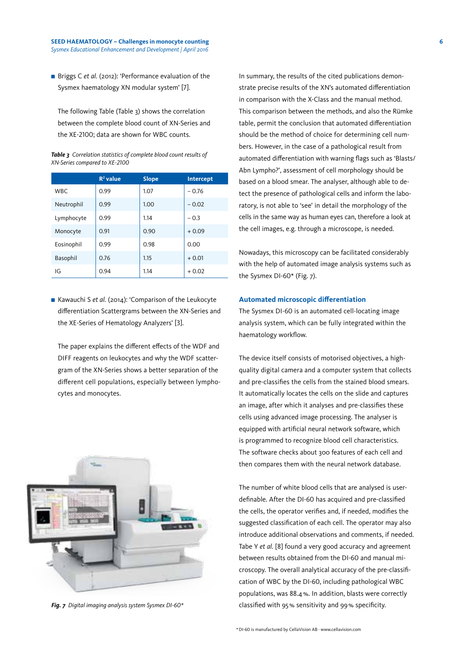■ Briggs C *et al.* (2012): 'Performance evaluation of the Sysmex haematology XN modular system' [7].

The following Table (Table 3) shows the correlation between the complete blood count of XN-Series and the XE-2100; data are shown for WBC counts.

| Table 3 Correlation statistics of complete blood count results of |
|-------------------------------------------------------------------|
| XN-Series compared to XE-2100                                     |

|            | $R^2$ value | <b>Slope</b> | Intercept |
|------------|-------------|--------------|-----------|
| <b>WBC</b> | 0.99        | 1.07         | $-0.76$   |
| Neutrophil | 0.99        | 1.00         | $-0.02$   |
| Lymphocyte | 0.99        | 1.14         | $-0.3$    |
| Monocyte   | 0.91        | 0.90         | $+0.09$   |
| Eosinophil | 0.99        | 0.98         | 0.00      |
| Basophil   | 0.76        | 1.15         | $+0.01$   |
| IG         | 0.94        | 1.14         | $+0.02$   |

■ Kawauchi S et al. (2014): 'Comparison of the Leukocyte differentiation Scattergrams between the XN-Series and the XE-Series of Hematology Analyzers' [3].

The paper explains the different effects of the WDF and DIFF reagents on leukocytes and why the WDF scattergram of the XN-Series shows a better separation of the different cell populations, especially between lymphocytes and monocytes.



In summary, the results of the cited publications demonstrate precise results of the XN's automated differentiation in comparison with the X-Class and the manual method. This comparison between the methods, and also the Rümke table, permit the conclusion that automated differentiation should be the method of choice for determining cell numbers. However, in the case of a pathological result from automated differentiation with warning flags such as 'Blasts/ Abn Lympho?', assessment of cell morphology should be based on a blood smear. The analyser, although able to detect the presence of pathological cells and inform the laboratory, is not able to 'see' in detail the morphology of the cells in the same way as human eyes can, therefore a look at the cell images, e.g. through a microscope, is needed.

Nowadays, this microscopy can be facilitated considerably with the help of automated image analysis systems such as the Sysmex DI-60\* (Fig. 7).

# **Automated microscopic differentiation**

The Sysmex DI-60 is an automated cell-locating image analysis system, which can be fully integrated within the haematology workflow.

The device itself consists of motorised objectives, a highquality digital camera and a computer system that collects and pre-classifies the cells from the stained blood smears. It automatically locates the cells on the slide and captures an image, after which it analyses and pre-classifies these cells using advanced image processing. The analyser is equipped with artificial neural network software, which is programmed to recognize blood cell characteristics. The software checks about 300 features of each cell and then compares them with the neural network database.

The number of white blood cells that are analysed is userdefinable. After the DI-60 has acquired and pre-classified the cells, the operator verifies and, if needed, modifies the suggested classification of each cell. The operator may also introduce additional observations and comments, if needed. Tabe Y *et al.* [8] found a very good accuracy and agreement between results obtained from the DI-60 and manual microscopy. The overall analytical accuracy of the pre-classification of WBC by the DI-60, including pathological WBC populations, was 88.4%. In addition, blasts were correctly *Fig. 7 Digital imaging analysis system Sysmex DI-60\** classified with 95% sensitivity and 99% specificity.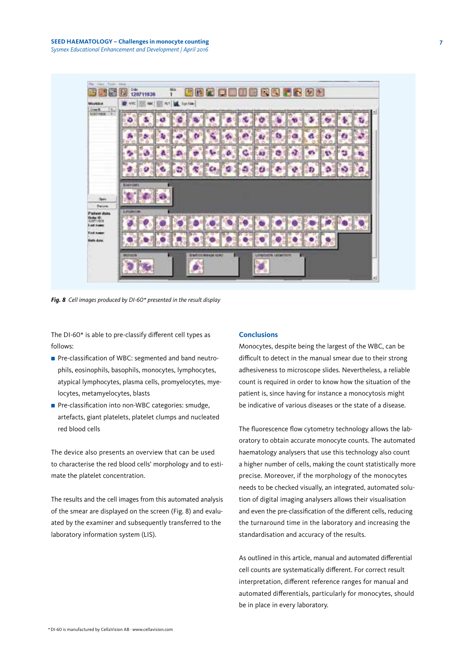

*Fig. 8 Cell images produced by DI-60\* presented in the result display*

The DI-60\* is able to pre-classify different cell types as follows:

- Pre-classification of WBC: segmented and band neutrophils, eosinophils, basophils, monocytes, lymphocytes, atypical lymphocytes, plasma cells, promyelocytes, myelocytes, metamyelocytes, blasts
- Pre-classification into non-WBC categories: smudge, artefacts, giant platelets, platelet clumps and nucleated red blood cells

The device also presents an overview that can be used to characterise the red blood cells' morphology and to estimate the platelet concentration.

The results and the cell images from this automated analysis of the smear are displayed on the screen (Fig. 8) and evaluated by the examiner and subsequently transferred to the laboratory information system (LIS).

#### **Conclusions**

Monocytes, despite being the largest of the WBC, can be difficult to detect in the manual smear due to their strong adhesiveness to microscope slides. Nevertheless, a reliable count is required in order to know how the situation of the patient is, since having for instance a monocytosis might be indicative of various diseases or the state of a disease.

The fluorescence flow cytometry technology allows the laboratory to obtain accurate monocyte counts. The automated haematology analysers that use this technology also count a higher number of cells, making the count statistically more precise. Moreover, if the morphology of the monocytes needs to be checked visually, an integrated, automated solution of digital imaging analysers allows their visualisation and even the pre-classification of the different cells, reducing the turnaround time in the laboratory and increasing the standardisation and accuracy of the results.

As outlined in this article, manual and automated differential cell counts are systematically different. For correct result interpretation, different reference ranges for manual and automated differentials, particularly for monocytes, should be in place in every laboratory.